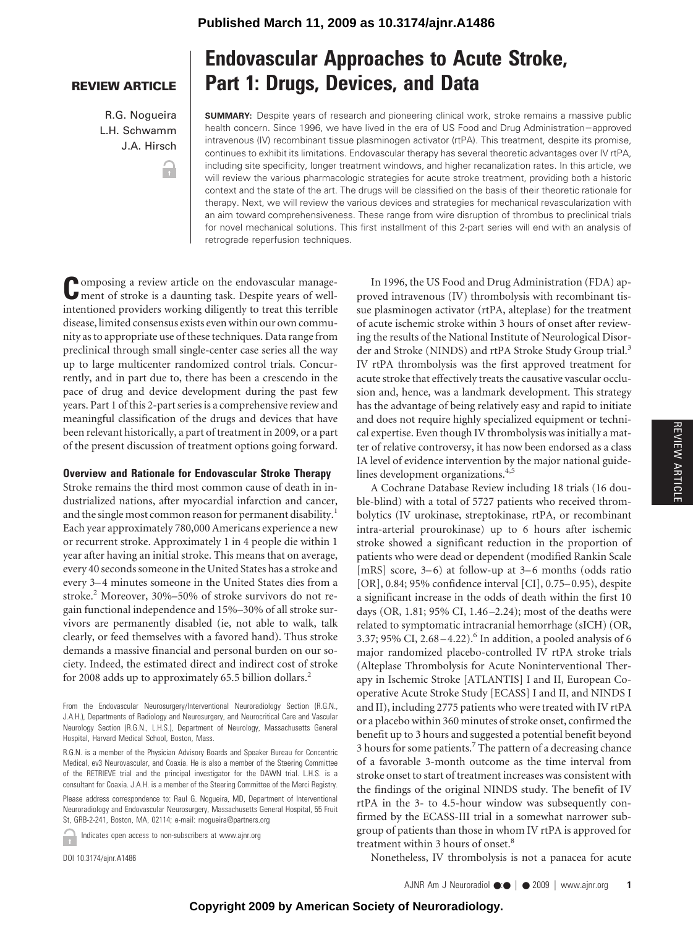# **Published March 11, 2009 as 10.3174/ajnr.A1486**

# **REVIEW ARTICLE**

R.G. Nogueira L.H. Schwamm J.A. Hirsch

Ħ

# **Endovascular Approaches to Acute Stroke, Part 1: Drugs, Devices, and Data**

**SUMMARY:** Despite years of research and pioneering clinical work, stroke remains a massive public health concern. Since 1996, we have lived in the era of US Food and Drug Administration-approved intravenous (IV) recombinant tissue plasminogen activator (rtPA). This treatment, despite its promise, continues to exhibit its limitations. Endovascular therapy has several theoretic advantages over IV rtPA, including site specificity, longer treatment windows, and higher recanalization rates. In this article, we will review the various pharmacologic strategies for acute stroke treatment, providing both a historic context and the state of the art. The drugs will be classified on the basis of their theoretic rationale for therapy. Next, we will review the various devices and strategies for mechanical revascularization with an aim toward comprehensiveness. These range from wire disruption of thrombus to preclinical trials for novel mechanical solutions. This first installment of this 2-part series will end with an analysis of retrograde reperfusion techniques.

**C**omposing a review article on the endovascular manage-<br>ment of stroke is a daunting task. Despite years of wellintentioned providers working diligently to treat this terrible disease, limited consensus exists even within our own community as to appropriate use of these techniques. Data range from preclinical through small single-center case series all the way up to large multicenter randomized control trials. Concurrently, and in part due to, there has been a crescendo in the pace of drug and device development during the past few years. Part 1 of this 2-part series is a comprehensive review and meaningful classification of the drugs and devices that have been relevant historically, a part of treatment in 2009, or a part of the present discussion of treatment options going forward.

## **Overview and Rationale for Endovascular Stroke Therapy**

Stroke remains the third most common cause of death in industrialized nations, after myocardial infarction and cancer, and the single most common reason for permanent disability.<sup>1</sup> Each year approximately 780,000 Americans experience a new or recurrent stroke. Approximately 1 in 4 people die within 1 year after having an initial stroke. This means that on average, every 40 seconds someone in the United States has a stroke and every 3–4 minutes someone in the United States dies from a stroke.<sup>2</sup> Moreover, 30%–50% of stroke survivors do not regain functional independence and 15%–30% of all stroke survivors are permanently disabled (ie, not able to walk, talk clearly, or feed themselves with a favored hand). Thus stroke demands a massive financial and personal burden on our society. Indeed, the estimated direct and indirect cost of stroke for 2008 adds up to approximately 65.5 billion dollars.2

From the Endovascular Neurosurgery/Interventional Neuroradiology Section (R.G.N., J.A.H.), Departments of Radiology and Neurosurgery, and Neurocritical Care and Vascular Neurology Section (R.G.N., L.H.S.), Department of Neurology, Massachusetts General Hospital, Harvard Medical School, Boston, Mass.

R.G.N. is a member of the Physician Advisory Boards and Speaker Bureau for Concentric Medical, ev3 Neurovascular, and Coaxia. He is also a member of the Steering Committee of the RETRIEVE trial and the principal investigator for the DAWN trial. L.H.S. is a consultant for Coaxia. J.A.H. is a member of the Steering Committee of the Merci Registry.

Please address correspondence to: Raul G. Nogueira, MD, Department of Interventional Neuroradiology and Endovascular Neurosurgery, Massachusetts General Hospital, 55 Fruit St, GRB-2-241, Boston, MA, 02114; e-mail: rnogueira@partners.org

Indicates open access to non-subscribers at www.ajnr.org  $\overline{\mathcal{A}}$ 

DOI 10.3174/ajnr.A1486

In 1996, the US Food and Drug Administration (FDA) approved intravenous (IV) thrombolysis with recombinant tissue plasminogen activator (rtPA, alteplase) for the treatment of acute ischemic stroke within 3 hours of onset after reviewing the results of the National Institute of Neurological Disorder and Stroke (NINDS) and rtPA Stroke Study Group trial.<sup>3</sup> IV rtPA thrombolysis was the first approved treatment for acute stroke that effectively treats the causative vascular occlusion and, hence, was a landmark development. This strategy has the advantage of being relatively easy and rapid to initiate and does not require highly specialized equipment or technical expertise. Even though IV thrombolysis was initially a matter of relative controversy, it has now been endorsed as a class IA level of evidence intervention by the major national guidelines development organizations.<sup>4,5</sup>

A Cochrane Database Review including 18 trials (16 double-blind) with a total of 5727 patients who received thrombolytics (IV urokinase, streptokinase, rtPA, or recombinant intra-arterial prourokinase) up to 6 hours after ischemic stroke showed a significant reduction in the proportion of patients who were dead or dependent (modified Rankin Scale [mRS] score,  $3-6$ ) at follow-up at  $3-6$  months (odds ratio [OR], 0.84; 95% confidence interval [CI], 0.75– 0.95), despite a significant increase in the odds of death within the first 10 days (OR, 1.81; 95% CI, 1.46 –2.24); most of the deaths were related to symptomatic intracranial hemorrhage (sICH) (OR, 3.37; 95% CI, 2.68 – 4.22).<sup>6</sup> In addition, a pooled analysis of 6 major randomized placebo-controlled IV rtPA stroke trials (Alteplase Thrombolysis for Acute Noninterventional Therapy in Ischemic Stroke [ATLANTIS] I and II, European Cooperative Acute Stroke Study [ECASS] I and II, and NINDS I and II), including 2775 patients who were treated with IV rtPA or a placebo within 360 minutes of stroke onset, confirmed the benefit up to 3 hours and suggested a potential benefit beyond 3 hours for some patients.<sup>7</sup> The pattern of a decreasing chance of a favorable 3-month outcome as the time interval from stroke onset to start of treatment increases was consistent with the findings of the original NINDS study. The benefit of IV rtPA in the 3- to 4.5-hour window was subsequently confirmed by the ECASS-III trial in a somewhat narrower subgroup of patients than those in whom IV rtPA is approved for treatment within 3 hours of onset.8

Nonetheless, IV thrombolysis is not a panacea for acute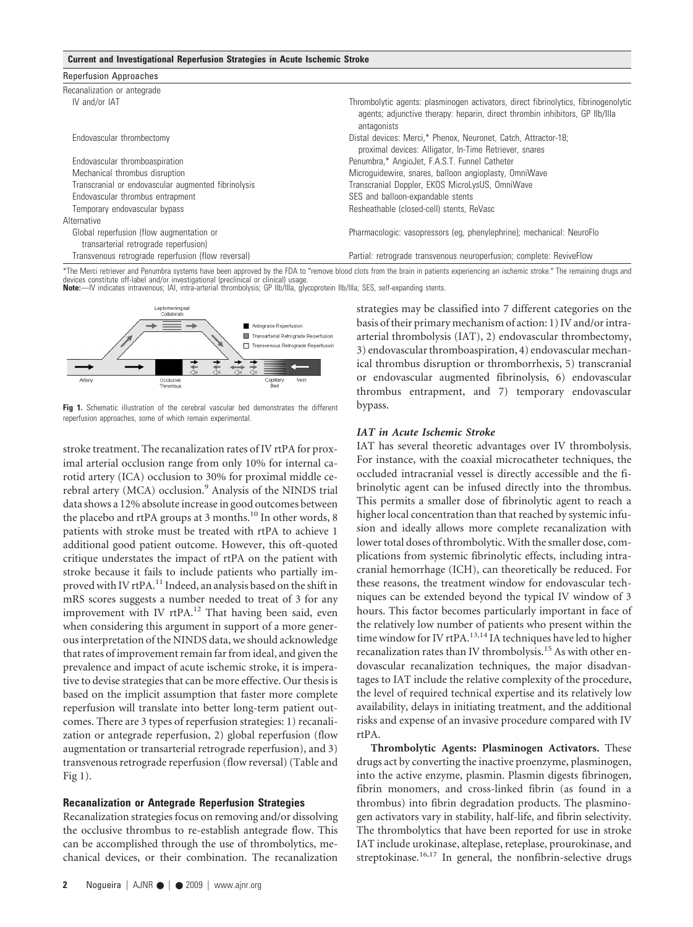| <b>Current and Investigational Reperfusion Strategies in Acute Ischemic Stroke</b><br><b>Reperfusion Approaches</b> |                                                                                                                                                                                    |
|---------------------------------------------------------------------------------------------------------------------|------------------------------------------------------------------------------------------------------------------------------------------------------------------------------------|
|                                                                                                                     |                                                                                                                                                                                    |
| IV and/or IAT                                                                                                       | Thrombolytic agents: plasminogen activators, direct fibrinolytics, fibrinogenolytic<br>agents; adjunctive therapy: heparin, direct thrombin inhibitors, GP IIb/IIIa<br>antagonists |
| Endovascular thrombectomy                                                                                           | Distal devices: Merci,* Phenox, Neuronet, Catch, Attractor-18;<br>proximal devices: Alligator, In-Time Retriever, snares                                                           |
| Endovascular thromboaspiration                                                                                      | Penumbra,* AngioJet, F.A.S.T. Funnel Catheter                                                                                                                                      |
| Mechanical thrombus disruption                                                                                      | Microquidewire, snares, balloon angioplasty, OmniWave                                                                                                                              |
| Transcranial or endovascular augmented fibrinolysis                                                                 | Transcranial Doppler, EKOS MicroLysUS, OmniWave                                                                                                                                    |
| Endovascular thrombus entrapment                                                                                    | SES and balloon-expandable stents                                                                                                                                                  |
| Temporary endovascular bypass                                                                                       | Resheathable (closed-cell) stents, ReVasc                                                                                                                                          |
| Alternative                                                                                                         |                                                                                                                                                                                    |
| Global reperfusion (flow augmentation or<br>transarterial retrograde reperfusion)                                   | Pharmacologic: vasopressors (eq. phenylephrine); mechanical: NeuroFlo                                                                                                              |
| Transvenous retrograde reperfusion (flow reversal)                                                                  | Partial: retrograde transvenous neuroperfusion; complete: ReviveFlow                                                                                                               |

\*The Merci retriever and Penumbra systems have been approved by the FDA to "remove blood clots from the brain in patients experiencing an ischemic stroke." The remaining drugs and devices constitute off-label and/or investigational (preclinical or clinical) usage.<br>**Note:**—IV indicates intravenous; IAI, intra-arterial thrombolysis; GP IIb/IIIa, glycoprotein IIb/IIIa; SES, self-expanding stents.



**Fig 1.** Schematic illustration of the cerebral vascular bed demonstrates the different reperfusion approaches, some of which remain experimental.

stroke treatment. The recanalization rates of IV rtPA for proximal arterial occlusion range from only 10% for internal carotid artery (ICA) occlusion to 30% for proximal middle cerebral artery (MCA) occlusion.<sup>9</sup> Analysis of the NINDS trial data shows a 12% absolute increase in good outcomes between the placebo and rtPA groups at 3 months.<sup>10</sup> In other words, 8 patients with stroke must be treated with rtPA to achieve 1 additional good patient outcome. However, this oft-quoted critique understates the impact of rtPA on the patient with stroke because it fails to include patients who partially improved with IV rtPA.<sup>11</sup> Indeed, an analysis based on the shift in mRS scores suggests a number needed to treat of 3 for any improvement with IV rtPA.<sup>12</sup> That having been said, even when considering this argument in support of a more generous interpretation of the NINDS data, we should acknowledge that rates of improvement remain far from ideal, and given the prevalence and impact of acute ischemic stroke, it is imperative to devise strategies that can be more effective. Our thesis is based on the implicit assumption that faster more complete reperfusion will translate into better long-term patient outcomes. There are 3 types of reperfusion strategies: 1) recanalization or antegrade reperfusion, 2) global reperfusion (flow augmentation or transarterial retrograde reperfusion), and 3) transvenous retrograde reperfusion (flow reversal) (Table and Fig 1).

### **Recanalization or Antegrade Reperfusion Strategies**

Recanalization strategies focus on removing and/or dissolving the occlusive thrombus to re-establish antegrade flow. This can be accomplished through the use of thrombolytics, mechanical devices, or their combination. The recanalization strategies may be classified into 7 different categories on the basis of their primary mechanism of action: 1) IV and/or intraarterial thrombolysis (IAT), 2) endovascular thrombectomy, 3) endovascular thromboaspiration, 4) endovascular mechanical thrombus disruption or thromborrhexis, 5) transcranial or endovascular augmented fibrinolysis, 6) endovascular thrombus entrapment, and 7) temporary endovascular bypass.

## *IAT in Acute Ischemic Stroke*

IAT has several theoretic advantages over IV thrombolysis. For instance, with the coaxial microcatheter techniques, the occluded intracranial vessel is directly accessible and the fibrinolytic agent can be infused directly into the thrombus. This permits a smaller dose of fibrinolytic agent to reach a higher local concentration than that reached by systemic infusion and ideally allows more complete recanalization with lower total doses of thrombolytic. With the smaller dose, complications from systemic fibrinolytic effects, including intracranial hemorrhage (ICH), can theoretically be reduced. For these reasons, the treatment window for endovascular techniques can be extended beyond the typical IV window of 3 hours. This factor becomes particularly important in face of the relatively low number of patients who present within the time window for IV rtPA.<sup>13,14</sup> IA techniques have led to higher recanalization rates than IV thrombolysis.<sup>15</sup> As with other endovascular recanalization techniques, the major disadvantages to IAT include the relative complexity of the procedure, the level of required technical expertise and its relatively low availability, delays in initiating treatment, and the additional risks and expense of an invasive procedure compared with IV rtPA.

**Thrombolytic Agents: Plasminogen Activators.** These drugs act by converting the inactive proenzyme, plasminogen, into the active enzyme, plasmin. Plasmin digests fibrinogen, fibrin monomers, and cross-linked fibrin (as found in a thrombus) into fibrin degradation products. The plasminogen activators vary in stability, half-life, and fibrin selectivity. The thrombolytics that have been reported for use in stroke IAT include urokinase, alteplase, reteplase, prourokinase, and streptokinase.<sup>16,17</sup> In general, the nonfibrin-selective drugs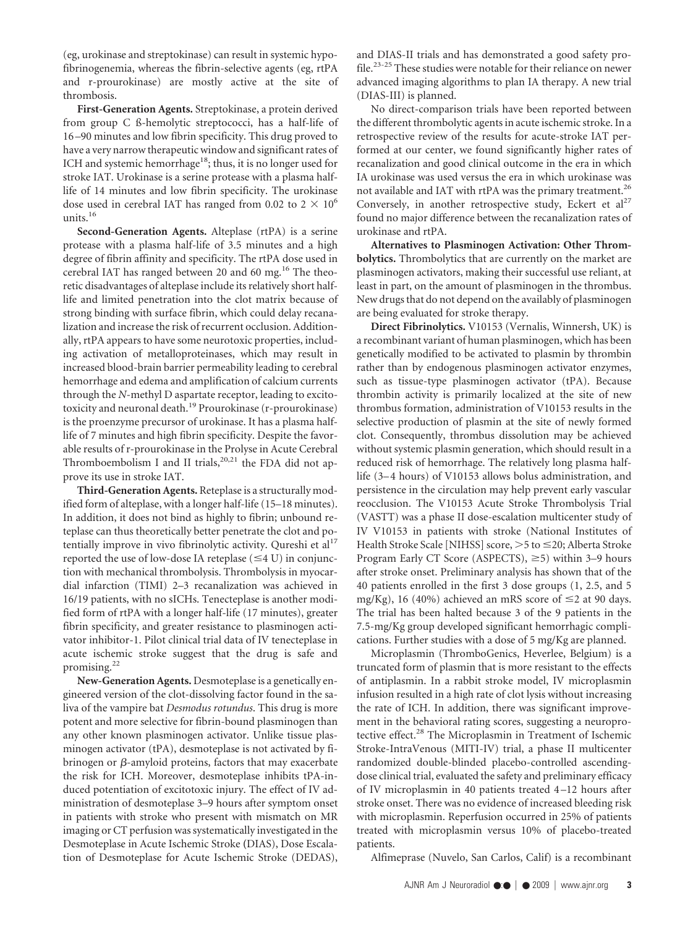(eg, urokinase and streptokinase) can result in systemic hypofibrinogenemia, whereas the fibrin-selective agents (eg, rtPA and r-prourokinase) are mostly active at the site of thrombosis.

**First-Generation Agents.** Streptokinase, a protein derived from group C ß-hemolytic streptococci, has a half-life of 16 –90 minutes and low fibrin specificity. This drug proved to have a very narrow therapeutic window and significant rates of ICH and systemic hemorrhage<sup>18</sup>; thus, it is no longer used for stroke IAT. Urokinase is a serine protease with a plasma halflife of 14 minutes and low fibrin specificity. The urokinase dose used in cerebral IAT has ranged from 0.02 to  $2 \times 10^6$ units. $16$ 

**Second-Generation Agents.** Alteplase (rtPA) is a serine protease with a plasma half-life of 3.5 minutes and a high degree of fibrin affinity and specificity. The rtPA dose used in cerebral IAT has ranged between 20 and 60 mg.<sup>16</sup> The theoretic disadvantages of alteplase include its relatively short halflife and limited penetration into the clot matrix because of strong binding with surface fibrin, which could delay recanalization and increase the risk of recurrent occlusion. Additionally, rtPA appears to have some neurotoxic properties, including activation of metalloproteinases, which may result in increased blood-brain barrier permeability leading to cerebral hemorrhage and edema and amplification of calcium currents through the *N*-methyl D aspartate receptor, leading to excitotoxicity and neuronal death.<sup>19</sup> Prourokinase (r-prourokinase) is the proenzyme precursor of urokinase. It has a plasma halflife of 7 minutes and high fibrin specificity. Despite the favorable results of r-prourokinase in the Prolyse in Acute Cerebral Thromboembolism I and II trials,<sup>20,21</sup> the FDA did not approve its use in stroke IAT.

**Third-Generation Agents.** Reteplase is a structurally modified form of alteplase, with a longer half-life (15–18 minutes). In addition, it does not bind as highly to fibrin; unbound reteplase can thus theoretically better penetrate the clot and potentially improve in vivo fibrinolytic activity. Qureshi et  $al<sup>17</sup>$ reported the use of low-dose IA reteplase  $(\leq 4 \text{ U})$  in conjunction with mechanical thrombolysis. Thrombolysis in myocardial infarction (TIMI) 2–3 recanalization was achieved in 16/19 patients, with no sICHs. Tenecteplase is another modified form of rtPA with a longer half-life (17 minutes), greater fibrin specificity, and greater resistance to plasminogen activator inhibitor-1. Pilot clinical trial data of IV tenecteplase in acute ischemic stroke suggest that the drug is safe and promising.22

**New-Generation Agents.** Desmoteplase is a genetically engineered version of the clot-dissolving factor found in the saliva of the vampire bat *Desmodus rotundus*. This drug is more potent and more selective for fibrin-bound plasminogen than any other known plasminogen activator. Unlike tissue plasminogen activator (tPA), desmoteplase is not activated by fibrinogen or  $\beta$ -amyloid proteins, factors that may exacerbate the risk for ICH. Moreover, desmoteplase inhibits tPA-induced potentiation of excitotoxic injury. The effect of IV administration of desmoteplase 3–9 hours after symptom onset in patients with stroke who present with mismatch on MR imaging or CT perfusion was systematically investigated in the Desmoteplase in Acute Ischemic Stroke **(**DIAS), Dose Escalation of Desmoteplase for Acute Ischemic Stroke (DEDAS), and DIAS-II trials and has demonstrated a good safety profile.23-25 These studies were notable for their reliance on newer advanced imaging algorithms to plan IA therapy. A new trial (DIAS-III) is planned.

No direct-comparison trials have been reported between the different thrombolytic agents in acute ischemic stroke. In a retrospective review of the results for acute-stroke IAT performed at our center, we found significantly higher rates of recanalization and good clinical outcome in the era in which IA urokinase was used versus the era in which urokinase was not available and IAT with rtPA was the primary treatment.<sup>26</sup> Conversely, in another retrospective study, Eckert et  $al^{27}$ found no major difference between the recanalization rates of urokinase and rtPA.

**Alternatives to Plasminogen Activation: Other Thrombolytics.** Thrombolytics that are currently on the market are plasminogen activators, making their successful use reliant, at least in part, on the amount of plasminogen in the thrombus. New drugs that do not depend on the availably of plasminogen are being evaluated for stroke therapy.

**Direct Fibrinolytics.** V10153 (Vernalis, Winnersh, UK) is a recombinant variant of human plasminogen, which has been genetically modified to be activated to plasmin by thrombin rather than by endogenous plasminogen activator enzymes, such as tissue-type plasminogen activator (tPA). Because thrombin activity is primarily localized at the site of new thrombus formation, administration of V10153 results in the selective production of plasmin at the site of newly formed clot. Consequently, thrombus dissolution may be achieved without systemic plasmin generation, which should result in a reduced risk of hemorrhage. The relatively long plasma halflife (3–4 hours) of V10153 allows bolus administration, and persistence in the circulation may help prevent early vascular reocclusion. The V10153 Acute Stroke Thrombolysis Trial (VASTT) was a phase II dose-escalation multicenter study of IV V10153 in patients with stroke (National Institutes of Health Stroke Scale [NIHSS] score,  $>$  5 to  $\leq$  20; Alberta Stroke Program Early CT Score (ASPECTS),  $\geq$ 5) within 3–9 hours after stroke onset. Preliminary analysis has shown that of the 40 patients enrolled in the first 3 dose groups (1, 2.5, and 5 mg/Kg), 16 (40%) achieved an mRS score of  $\leq$  2 at 90 days. The trial has been halted because 3 of the 9 patients in the 7.5-mg/Kg group developed significant hemorrhagic complications. Further studies with a dose of 5 mg/Kg are planned.

Microplasmin (ThromboGenics, Heverlee, Belgium) is a truncated form of plasmin that is more resistant to the effects of antiplasmin. In a rabbit stroke model, IV microplasmin infusion resulted in a high rate of clot lysis without increasing the rate of ICH. In addition, there was significant improvement in the behavioral rating scores, suggesting a neuroprotective effect.<sup>28</sup> The Microplasmin in Treatment of Ischemic Stroke-IntraVenous (MITI-IV) trial, a phase II multicenter randomized double-blinded placebo-controlled ascendingdose clinical trial, evaluated the safety and preliminary efficacy of IV microplasmin in 40 patients treated 4 –12 hours after stroke onset. There was no evidence of increased bleeding risk with microplasmin. Reperfusion occurred in 25% of patients treated with microplasmin versus 10% of placebo-treated patients.

Alfimeprase (Nuvelo, San Carlos, Calif) is a recombinant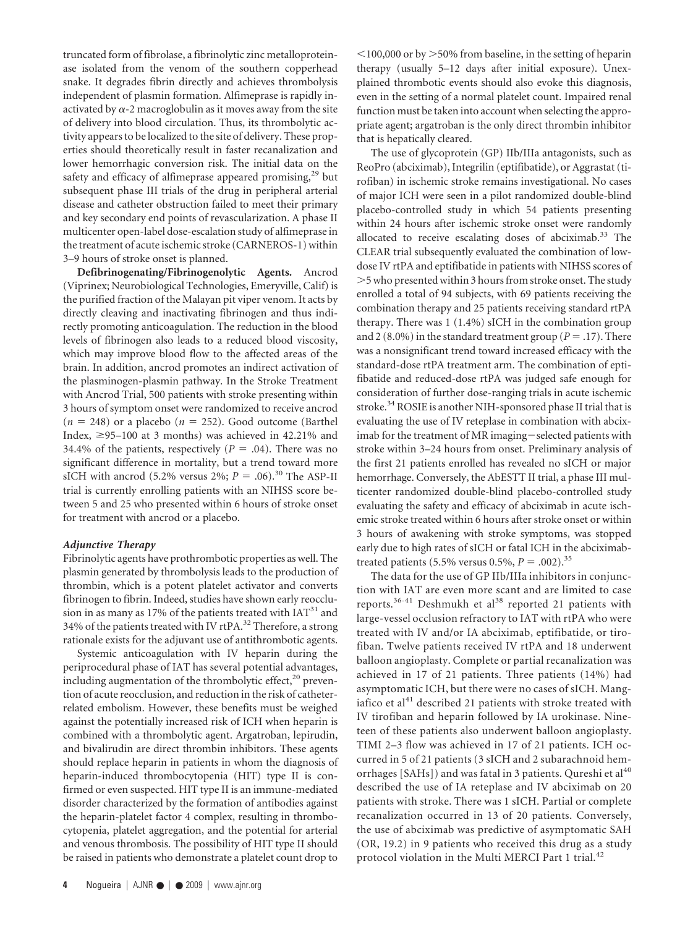truncated form of fibrolase, a fibrinolytic zinc metalloproteinase isolated from the venom of the southern copperhead snake. It degrades fibrin directly and achieves thrombolysis independent of plasmin formation. Alfimeprase is rapidly inactivated by  $\alpha$ -2 macroglobulin as it moves away from the site of delivery into blood circulation. Thus, its thrombolytic activity appears to be localized to the site of delivery. These properties should theoretically result in faster recanalization and lower hemorrhagic conversion risk. The initial data on the safety and efficacy of alfimeprase appeared promising, $^{29}$  but subsequent phase III trials of the drug in peripheral arterial disease and catheter obstruction failed to meet their primary and key secondary end points of revascularization. A phase II multicenter open-label dose-escalation study of alfimeprase in the treatment of acute ischemic stroke (CARNEROS-1) within 3–9 hours of stroke onset is planned.

**Defibrinogenating/Fibrinogenolytic Agents.** Ancrod (Viprinex; Neurobiological Technologies, Emeryville, Calif) is the purified fraction of the Malayan pit viper venom. It acts by directly cleaving and inactivating fibrinogen and thus indirectly promoting anticoagulation. The reduction in the blood levels of fibrinogen also leads to a reduced blood viscosity, which may improve blood flow to the affected areas of the brain. In addition, ancrod promotes an indirect activation of the plasminogen-plasmin pathway. In the Stroke Treatment with Ancrod Trial, 500 patients with stroke presenting within 3 hours of symptom onset were randomized to receive ancrod  $(n = 248)$  or a placebo  $(n = 252)$ . Good outcome (Barthel Index,  $\geq$ 95–100 at 3 months) was achieved in 42.21% and 34.4% of the patients, respectively  $(P = .04)$ . There was no significant difference in mortality, but a trend toward more sICH with ancrod (5.2% versus 2%;  $P = .06$ ).<sup>30</sup> The ASP-II trial is currently enrolling patients with an NIHSS score between 5 and 25 who presented within 6 hours of stroke onset for treatment with ancrod or a placebo.

### *Adjunctive Therapy*

Fibrinolytic agents have prothrombotic properties as well. The plasmin generated by thrombolysis leads to the production of thrombin, which is a potent platelet activator and converts fibrinogen to fibrin. Indeed, studies have shown early reocclusion in as many as 17% of the patients treated with  $IAT<sup>31</sup>$  and 34% of the patients treated with IV rtPA.<sup>32</sup> Therefore, a strong rationale exists for the adjuvant use of antithrombotic agents.

Systemic anticoagulation with IV heparin during the periprocedural phase of IAT has several potential advantages, including augmentation of the thrombolytic effect, $^{20}$  prevention of acute reocclusion, and reduction in the risk of catheterrelated embolism. However, these benefits must be weighed against the potentially increased risk of ICH when heparin is combined with a thrombolytic agent. Argatroban, lepirudin, and bivalirudin are direct thrombin inhibitors. These agents should replace heparin in patients in whom the diagnosis of heparin-induced thrombocytopenia (HIT) type II is confirmed or even suspected. HIT type II is an immune-mediated disorder characterized by the formation of antibodies against the heparin-platelet factor 4 complex, resulting in thrombocytopenia, platelet aggregation, and the potential for arterial and venous thrombosis. The possibility of HIT type II should be raised in patients who demonstrate a platelet count drop to

**Nogueira** | AJNR ● | ● 2009 | www.ajnr.org

 $100,000$  or by  $> 50\%$  from baseline, in the setting of heparin therapy (usually 5–12 days after initial exposure). Unexplained thrombotic events should also evoke this diagnosis, even in the setting of a normal platelet count. Impaired renal function must be taken into account when selecting the appropriate agent; argatroban is the only direct thrombin inhibitor that is hepatically cleared.

The use of glycoprotein (GP) IIb/IIIa antagonists, such as ReoPro (abciximab), Integrilin (eptifibatide), or Aggrastat (tirofiban) in ischemic stroke remains investigational. No cases of major ICH were seen in a pilot randomized double-blind placebo-controlled study in which 54 patients presenting within 24 hours after ischemic stroke onset were randomly allocated to receive escalating doses of abciximab.<sup>33</sup> The CLEAR trial subsequently evaluated the combination of lowdose IV rtPA and eptifibatide in patients with NIHSS scores of 5 who presented within 3 hours from stroke onset. The study enrolled a total of 94 subjects, with 69 patients receiving the combination therapy and 25 patients receiving standard rtPA therapy. There was 1 (1.4%) sICH in the combination group and 2 (8.0%) in the standard treatment group ( $P = .17$ ). There was a nonsignificant trend toward increased efficacy with the standard-dose rtPA treatment arm. The combination of eptifibatide and reduced-dose rtPA was judged safe enough for consideration of further dose-ranging trials in acute ischemic stroke.<sup>34</sup> ROSIE is another NIH-sponsored phase II trial that is evaluating the use of IV reteplase in combination with abciximab for the treatment of MR imaging-selected patients with stroke within 3–24 hours from onset. Preliminary analysis of the first 21 patients enrolled has revealed no sICH or major hemorrhage. Conversely, the AbESTT II trial, a phase III multicenter randomized double-blind placebo-controlled study evaluating the safety and efficacy of abciximab in acute ischemic stroke treated within 6 hours after stroke onset or within 3 hours of awakening with stroke symptoms, was stopped early due to high rates of sICH or fatal ICH in the abciximabtreated patients (5.5% versus 0.5%,  $P = .002$ ).<sup>35</sup>

The data for the use of GP IIb/IIIa inhibitors in conjunction with IAT are even more scant and are limited to case reports.<sup>36-41</sup> Deshmukh et al<sup>38</sup> reported 21 patients with large-vessel occlusion refractory to IAT with rtPA who were treated with IV and/or IA abciximab, eptifibatide, or tirofiban. Twelve patients received IV rtPA and 18 underwent balloon angioplasty. Complete or partial recanalization was achieved in 17 of 21 patients. Three patients (14%) had asymptomatic ICH, but there were no cases of sICH. Mangiafico et al<sup>41</sup> described 21 patients with stroke treated with IV tirofiban and heparin followed by IA urokinase. Nineteen of these patients also underwent balloon angioplasty. TIMI 2–3 flow was achieved in 17 of 21 patients. ICH occurred in 5 of 21 patients (3 sICH and 2 subarachnoid hemorrhages [SAHs]) and was fatal in 3 patients. Qureshi et al<sup>40</sup> described the use of IA reteplase and IV abciximab on 20 patients with stroke. There was 1 sICH. Partial or complete recanalization occurred in 13 of 20 patients. Conversely, the use of abciximab was predictive of asymptomatic SAH (OR, 19.2) in 9 patients who received this drug as a study protocol violation in the Multi MERCI Part 1 trial.<sup>42</sup>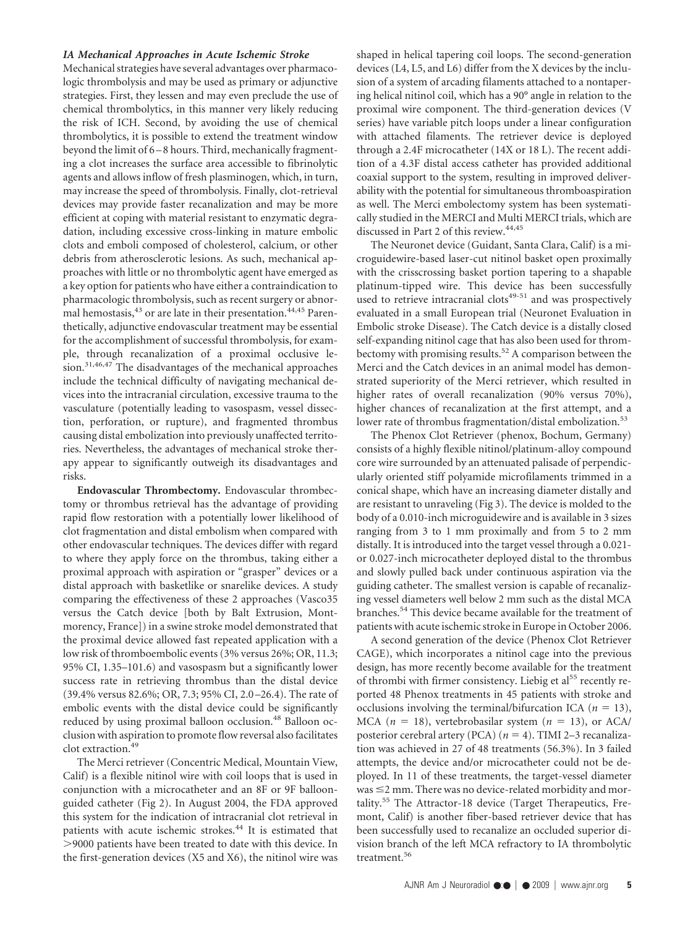#### *IA Mechanical Approaches in Acute Ischemic Stroke*

Mechanical strategies have several advantages over pharmacologic thrombolysis and may be used as primary or adjunctive strategies. First, they lessen and may even preclude the use of chemical thrombolytics, in this manner very likely reducing the risk of ICH. Second, by avoiding the use of chemical thrombolytics, it is possible to extend the treatment window beyond the limit of 6 – 8 hours. Third, mechanically fragmenting a clot increases the surface area accessible to fibrinolytic agents and allows inflow of fresh plasminogen, which, in turn, may increase the speed of thrombolysis. Finally, clot-retrieval devices may provide faster recanalization and may be more efficient at coping with material resistant to enzymatic degradation, including excessive cross-linking in mature embolic clots and emboli composed of cholesterol, calcium, or other debris from atherosclerotic lesions. As such, mechanical approaches with little or no thrombolytic agent have emerged as a key option for patients who have either a contraindication to pharmacologic thrombolysis, such as recent surgery or abnormal hemostasis,<sup>43</sup> or are late in their presentation.<sup>44,45</sup> Parenthetically, adjunctive endovascular treatment may be essential for the accomplishment of successful thrombolysis, for example, through recanalization of a proximal occlusive lesion.<sup>31,46,47</sup> The disadvantages of the mechanical approaches include the technical difficulty of navigating mechanical devices into the intracranial circulation, excessive trauma to the vasculature (potentially leading to vasospasm, vessel dissection, perforation, or rupture), and fragmented thrombus causing distal embolization into previously unaffected territories. Nevertheless, the advantages of mechanical stroke therapy appear to significantly outweigh its disadvantages and risks.

**Endovascular Thrombectomy.** Endovascular thrombectomy or thrombus retrieval has the advantage of providing rapid flow restoration with a potentially lower likelihood of clot fragmentation and distal embolism when compared with other endovascular techniques. The devices differ with regard to where they apply force on the thrombus, taking either a proximal approach with aspiration or "grasper" devices or a distal approach with basketlike or snarelike devices. A study comparing the effectiveness of these 2 approaches (Vasco35 versus the Catch device [both by Balt Extrusion, Montmorency, France]) in a swine stroke model demonstrated that the proximal device allowed fast repeated application with a low risk of thromboembolic events (3% versus 26%; OR, 11.3; 95% CI, 1.35–101.6) and vasospasm but a significantly lower success rate in retrieving thrombus than the distal device (39.4% versus 82.6%; OR, 7.3; 95% CI, 2.0 –26.4). The rate of embolic events with the distal device could be significantly reduced by using proximal balloon occlusion.<sup>48</sup> Balloon occlusion with aspiration to promote flow reversal also facilitates clot extraction.<sup>49</sup>

The Merci retriever (Concentric Medical, Mountain View, Calif) is a flexible nitinol wire with coil loops that is used in conjunction with a microcatheter and an 8F or 9F balloonguided catheter (Fig 2). In August 2004, the FDA approved this system for the indication of intracranial clot retrieval in patients with acute ischemic strokes.<sup>44</sup> It is estimated that 9000 patients have been treated to date with this device. In the first-generation devices (X5 and X6), the nitinol wire was shaped in helical tapering coil loops. The second-generation devices (L4, L5, and L6) differ from the X devices by the inclusion of a system of arcading filaments attached to a nontapering helical nitinol coil, which has a 90° angle in relation to the proximal wire component. The third-generation devices (V series) have variable pitch loops under a linear configuration with attached filaments. The retriever device is deployed through a 2.4F microcatheter (14X or 18 L). The recent addition of a 4.3F distal access catheter has provided additional coaxial support to the system, resulting in improved deliverability with the potential for simultaneous thromboaspiration as well. The Merci embolectomy system has been systematically studied in the MERCI and Multi MERCI trials, which are discussed in Part 2 of this review.<sup>44,45</sup>

The Neuronet device (Guidant, Santa Clara, Calif) is a microguidewire-based laser-cut nitinol basket open proximally with the crisscrossing basket portion tapering to a shapable platinum-tipped wire. This device has been successfully used to retrieve intracranial clots<sup>49-51</sup> and was prospectively evaluated in a small European trial (Neuronet Evaluation in Embolic stroke Disease). The Catch device is a distally closed self-expanding nitinol cage that has also been used for thrombectomy with promising results.<sup>52</sup> A comparison between the Merci and the Catch devices in an animal model has demonstrated superiority of the Merci retriever, which resulted in higher rates of overall recanalization (90% versus 70%), higher chances of recanalization at the first attempt, and a lower rate of thrombus fragmentation/distal embolization.<sup>53</sup>

The Phenox Clot Retriever (phenox, Bochum, Germany) consists of a highly flexible nitinol/platinum-alloy compound core wire surrounded by an attenuated palisade of perpendicularly oriented stiff polyamide microfilaments trimmed in a conical shape, which have an increasing diameter distally and are resistant to unraveling (Fig 3). The device is molded to the body of a 0.010-inch microguidewire and is available in 3 sizes ranging from 3 to 1 mm proximally and from 5 to 2 mm distally. It is introduced into the target vessel through a 0.021 or 0.027-inch microcatheter deployed distal to the thrombus and slowly pulled back under continuous aspiration via the guiding catheter. The smallest version is capable of recanalizing vessel diameters well below 2 mm such as the distal MCA branches.54 This device became available for the treatment of patients with acute ischemic stroke in Europe in October 2006.

A second generation of the device (Phenox Clot Retriever CAGE), which incorporates a nitinol cage into the previous design, has more recently become available for the treatment of thrombi with firmer consistency. Liebig et al<sup>55</sup> recently reported 48 Phenox treatments in 45 patients with stroke and occlusions involving the terminal/bifurcation ICA ( $n = 13$ ), MCA ( $n = 18$ ), vertebrobasilar system ( $n = 13$ ), or ACA/ posterior cerebral artery (PCA)  $(n = 4)$ . TIMI 2–3 recanalization was achieved in 27 of 48 treatments (56.3%). In 3 failed attempts, the device and/or microcatheter could not be deployed. In 11 of these treatments, the target-vessel diameter  $was \leq$ 2 mm. There was no device-related morbidity and mortality.55 The Attractor-18 device (Target Therapeutics, Fremont, Calif) is another fiber-based retriever device that has been successfully used to recanalize an occluded superior division branch of the left MCA refractory to IA thrombolytic treatment.<sup>56</sup>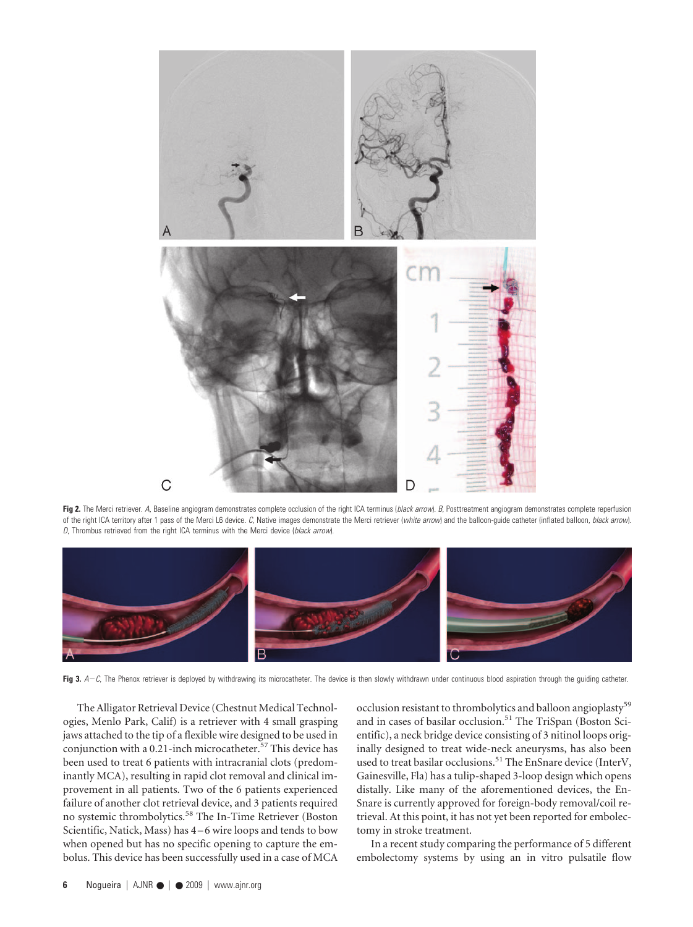

Fig 2. The Merci retriever. A, Baseline angiogram demonstrates complete occlusion of the right ICA terminus (*black arrow)*. *B*, Posttreatment angiogram demonstrates complete reperfusion of the right ICA territory after 1 pass of the Merci L6 device. *C*, Native images demonstrate the Merci retriever (*white arrow*) and the balloon-guide catheter (inflated balloon, *black arrow*). *D*, Thrombus retrieved from the right ICA terminus with the Merci device (*black arrow*).



Fig 3. A-C, The Phenox retriever is deployed by withdrawing its microcatheter. The device is then slowly withdrawn under continuous blood aspiration through the guiding catheter.

The Alligator Retrieval Device (Chestnut Medical Technologies, Menlo Park, Calif) is a retriever with 4 small grasping jaws attached to the tip of a flexible wire designed to be used in conjunction with a  $0.21$ -inch microcatheter.<sup>57</sup> This device has been used to treat 6 patients with intracranial clots (predominantly MCA), resulting in rapid clot removal and clinical improvement in all patients. Two of the 6 patients experienced failure of another clot retrieval device, and 3 patients required no systemic thrombolytics.58 The In-Time Retriever (Boston Scientific, Natick, Mass) has 4 – 6 wire loops and tends to bow when opened but has no specific opening to capture the embolus. This device has been successfully used in a case of MCA occlusion resistant to thrombolytics and balloon angioplasty<sup>59</sup> and in cases of basilar occlusion.<sup>51</sup> The TriSpan (Boston Scientific), a neck bridge device consisting of 3 nitinol loops originally designed to treat wide-neck aneurysms, has also been used to treat basilar occlusions.<sup>51</sup> The EnSnare device (InterV, Gainesville, Fla) has a tulip-shaped 3-loop design which opens distally. Like many of the aforementioned devices, the En-Snare is currently approved for foreign-body removal/coil retrieval. At this point, it has not yet been reported for embolectomy in stroke treatment.

In a recent study comparing the performance of 5 different embolectomy systems by using an in vitro pulsatile flow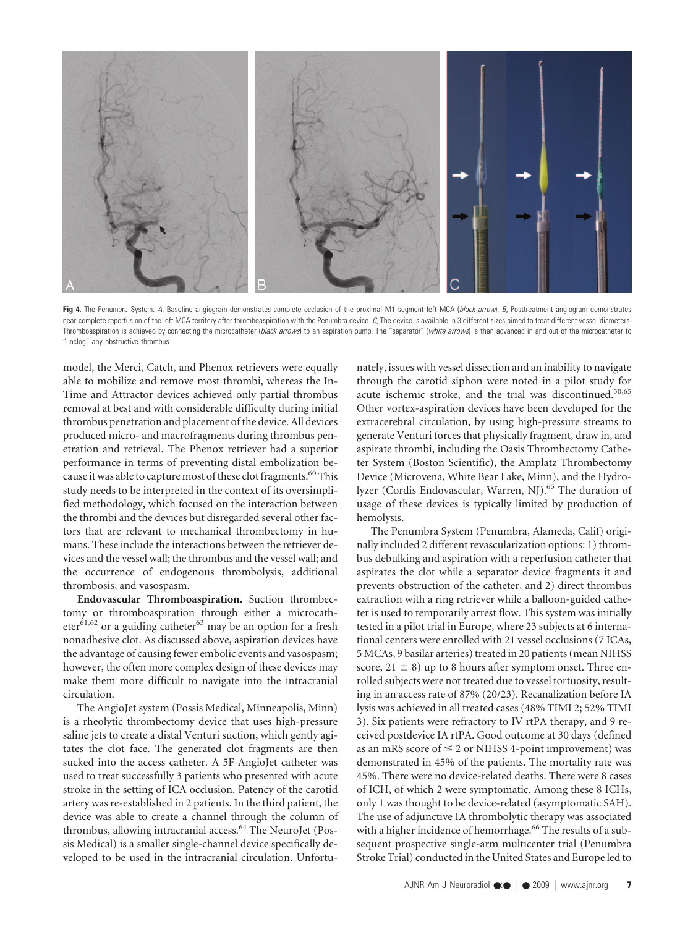

Fig 4. The Penumbra System. A, Baseline angiogram demonstrates complete occlusion of the proximal M1 segment left MCA (*black arrow*). B, Posttreatment angiogram demonstrates near-complete reperfusion of the left MCA territory after thromboaspiration with the Penumbra device. *C*, The device is available in 3 different sizes aimed to treat different vessel diameters. Thromboaspiration is achieved by connecting the microcatheter (*black arrows*) to an aspiration pump. The "separator" (*white arrows*) is then advanced in and out of the microcatheter to "unclog" any obstructive thrombus.

model, the Merci, Catch, and Phenox retrievers were equally able to mobilize and remove most thrombi, whereas the In-Time and Attractor devices achieved only partial thrombus removal at best and with considerable difficulty during initial thrombus penetration and placement of the device. All devices produced micro- and macrofragments during thrombus penetration and retrieval. The Phenox retriever had a superior performance in terms of preventing distal embolization because it was able to capture most of these clot fragments.<sup>60</sup>This study needs to be interpreted in the context of its oversimplified methodology, which focused on the interaction between the thrombi and the devices but disregarded several other factors that are relevant to mechanical thrombectomy in humans. These include the interactions between the retriever devices and the vessel wall; the thrombus and the vessel wall; and the occurrence of endogenous thrombolysis, additional thrombosis, and vasospasm.

**Endovascular Thromboaspiration.** Suction thrombectomy or thromboaspiration through either a microcath $eter<sup>61,62</sup>$  or a guiding catheter<sup>63</sup> may be an option for a fresh nonadhesive clot. As discussed above, aspiration devices have the advantage of causing fewer embolic events and vasospasm; however, the often more complex design of these devices may make them more difficult to navigate into the intracranial circulation.

The AngioJet system (Possis Medical, Minneapolis, Minn) is a rheolytic thrombectomy device that uses high-pressure saline jets to create a distal Venturi suction, which gently agitates the clot face. The generated clot fragments are then sucked into the access catheter. A 5F AngioJet catheter was used to treat successfully 3 patients who presented with acute stroke in the setting of ICA occlusion. Patency of the carotid artery was re-established in 2 patients. In the third patient, the device was able to create a channel through the column of thrombus, allowing intracranial access.<sup>64</sup> The NeuroJet (Possis Medical) is a smaller single-channel device specifically developed to be used in the intracranial circulation. Unfortunately, issues with vessel dissection and an inability to navigate through the carotid siphon were noted in a pilot study for acute ischemic stroke, and the trial was discontinued.<sup>50,65</sup> Other vortex-aspiration devices have been developed for the extracerebral circulation, by using high-pressure streams to generate Venturi forces that physically fragment, draw in, and aspirate thrombi, including the Oasis Thrombectomy Catheter System (Boston Scientific), the Amplatz Thrombectomy Device (Microvena, White Bear Lake, Minn), and the Hydrolyzer (Cordis Endovascular, Warren, NJ).<sup>65</sup> The duration of usage of these devices is typically limited by production of hemolysis.

The Penumbra System (Penumbra, Alameda, Calif) originally included 2 different revascularization options: 1) thrombus debulking and aspiration with a reperfusion catheter that aspirates the clot while a separator device fragments it and prevents obstruction of the catheter, and 2) direct thrombus extraction with a ring retriever while a balloon-guided catheter is used to temporarily arrest flow. This system was initially tested in a pilot trial in Europe, where 23 subjects at 6 international centers were enrolled with 21 vessel occlusions (7 ICAs, 5 MCAs, 9 basilar arteries) treated in 20 patients (mean NIHSS score,  $21 \pm 8$ ) up to 8 hours after symptom onset. Three enrolled subjects were not treated due to vessel tortuosity, resulting in an access rate of 87% (20/23). Recanalization before IA lysis was achieved in all treated cases (48% TIMI 2; 52% TIMI 3). Six patients were refractory to IV rtPA therapy, and 9 received postdevice IA rtPA. Good outcome at 30 days (defined as an mRS score of  $\leq$  2 or NIHSS 4-point improvement) was demonstrated in 45% of the patients. The mortality rate was 45%. There were no device-related deaths. There were 8 cases of ICH, of which 2 were symptomatic. Among these 8 ICHs, only 1 was thought to be device-related (asymptomatic SAH). The use of adjunctive IA thrombolytic therapy was associated with a higher incidence of hemorrhage.<sup>66</sup> The results of a subsequent prospective single-arm multicenter trial (Penumbra Stroke Trial) conducted in the United States and Europe led to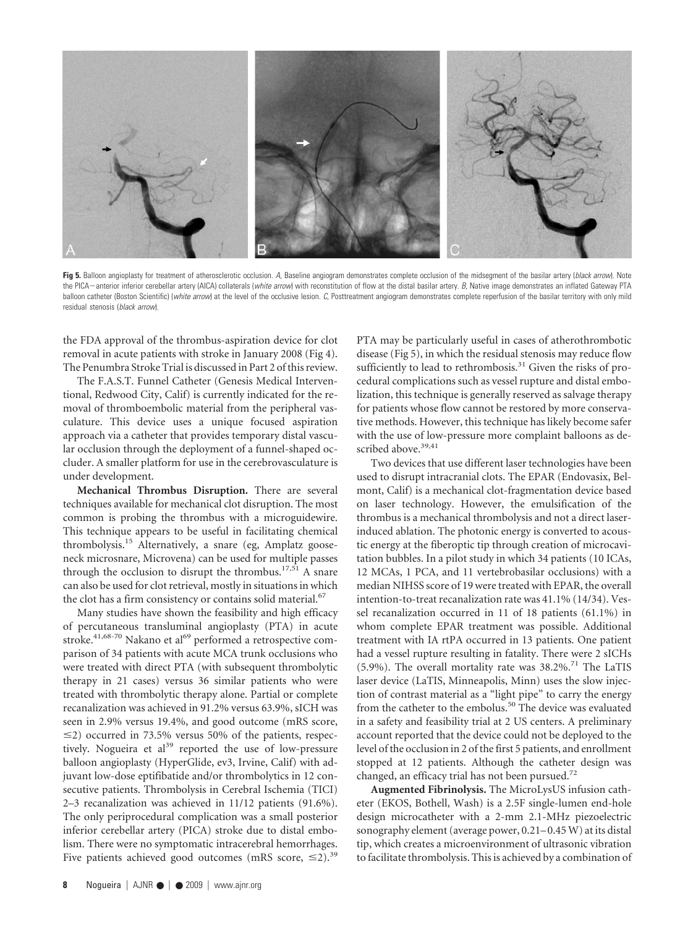

**Fig 5.** Balloon angioplasty for treatment of atherosclerotic occlusion. *A*, Baseline angiogram demonstrates complete occlusion of the midsegment of the basilar artery (*black arrow*). Note the PICA-anterior inferior cerebellar artery (AICA) collaterals (*white arrow*) with reconstitution of flow at the distal basilar artery. *B*, Native image demonstrates an inflated Gateway PTA balloon catheter (Boston Scientific) (*white arrow*) at the level of the occlusive lesion. *C*, Posttreatment angiogram demonstrates complete reperfusion of the basilar territory with only mild residual stenosis (*black arrow*).

the FDA approval of the thrombus-aspiration device for clot removal in acute patients with stroke in January 2008 (Fig 4). The Penumbra Stroke Trial is discussed in Part 2 of this review.

The F.A.S.T. Funnel Catheter (Genesis Medical Interventional, Redwood City, Calif) is currently indicated for the removal of thromboembolic material from the peripheral vasculature. This device uses a unique focused aspiration approach via a catheter that provides temporary distal vascular occlusion through the deployment of a funnel-shaped occluder. A smaller platform for use in the cerebrovasculature is under development.

**Mechanical Thrombus Disruption.** There are several techniques available for mechanical clot disruption. The most common is probing the thrombus with a microguidewire. This technique appears to be useful in facilitating chemical thrombolysis.15 Alternatively, a snare (eg, Amplatz gooseneck microsnare, Microvena) can be used for multiple passes through the occlusion to disrupt the thrombus.<sup>17,51</sup> A snare can also be used for clot retrieval, mostly in situations in which the clot has a firm consistency or contains solid material.<sup>67</sup>

Many studies have shown the feasibility and high efficacy of percutaneous transluminal angioplasty (PTA) in acute stroke.<sup>41,68-70</sup> Nakano et al<sup>69</sup> performed a retrospective comparison of 34 patients with acute MCA trunk occlusions who were treated with direct PTA (with subsequent thrombolytic therapy in 21 cases) versus 36 similar patients who were treated with thrombolytic therapy alone. Partial or complete recanalization was achieved in 91.2% versus 63.9%, sICH was seen in 2.9% versus 19.4%, and good outcome (mRS score,  $\leq$ 2) occurred in 73.5% versus 50% of the patients, respectively. Nogueira et  $al^{39}$  reported the use of low-pressure balloon angioplasty (HyperGlide, ev3, Irvine, Calif) with adjuvant low-dose eptifibatide and/or thrombolytics in 12 consecutive patients. Thrombolysis in Cerebral Ischemia (TICI) 2–3 recanalization was achieved in 11/12 patients (91.6%). The only periprocedural complication was a small posterior inferior cerebellar artery (PICA) stroke due to distal embolism. There were no symptomatic intracerebral hemorrhages. Five patients achieved good outcomes (mRS score,  $\leq$ 2).<sup>39</sup>

PTA may be particularly useful in cases of atherothrombotic disease (Fig 5), in which the residual stenosis may reduce flow sufficiently to lead to rethrombosis.<sup>31</sup> Given the risks of procedural complications such as vessel rupture and distal embolization, this technique is generally reserved as salvage therapy for patients whose flow cannot be restored by more conservative methods. However, this technique has likely become safer with the use of low-pressure more complaint balloons as described above.<sup>39,41</sup>

Two devices that use different laser technologies have been used to disrupt intracranial clots. The EPAR (Endovasix, Belmont, Calif) is a mechanical clot-fragmentation device based on laser technology. However, the emulsification of the thrombus is a mechanical thrombolysis and not a direct laserinduced ablation. The photonic energy is converted to acoustic energy at the fiberoptic tip through creation of microcavitation bubbles. In a pilot study in which 34 patients (10 ICAs, 12 MCAs, 1 PCA, and 11 vertebrobasilar occlusions) with a median NIHSS score of 19 were treated with EPAR, the overall intention-to-treat recanalization rate was 41.1% (14/34). Vessel recanalization occurred in 11 of 18 patients (61.1%) in whom complete EPAR treatment was possible. Additional treatment with IA rtPA occurred in 13 patients. One patient had a vessel rupture resulting in fatality. There were 2 sICHs  $(5.9\%)$ . The overall mortality rate was  $38.2\%$ .<sup>71</sup> The LaTIS laser device (LaTIS, Minneapolis, Minn) uses the slow injection of contrast material as a "light pipe" to carry the energy from the catheter to the embolus.<sup>50</sup> The device was evaluated in a safety and feasibility trial at 2 US centers. A preliminary account reported that the device could not be deployed to the level of the occlusion in 2 of the first 5 patients, and enrollment stopped at 12 patients. Although the catheter design was changed, an efficacy trial has not been pursued.<sup>72</sup>

**Augmented Fibrinolysis.** The MicroLysUS infusion catheter (EKOS, Bothell, Wash) is a 2.5F single-lumen end-hole design microcatheter with a 2-mm 2.1-MHz piezoelectric sonography element (average power, 0.21– 0.45 W) at its distal tip, which creates a microenvironment of ultrasonic vibration to facilitate thrombolysis. This is achieved by a combination of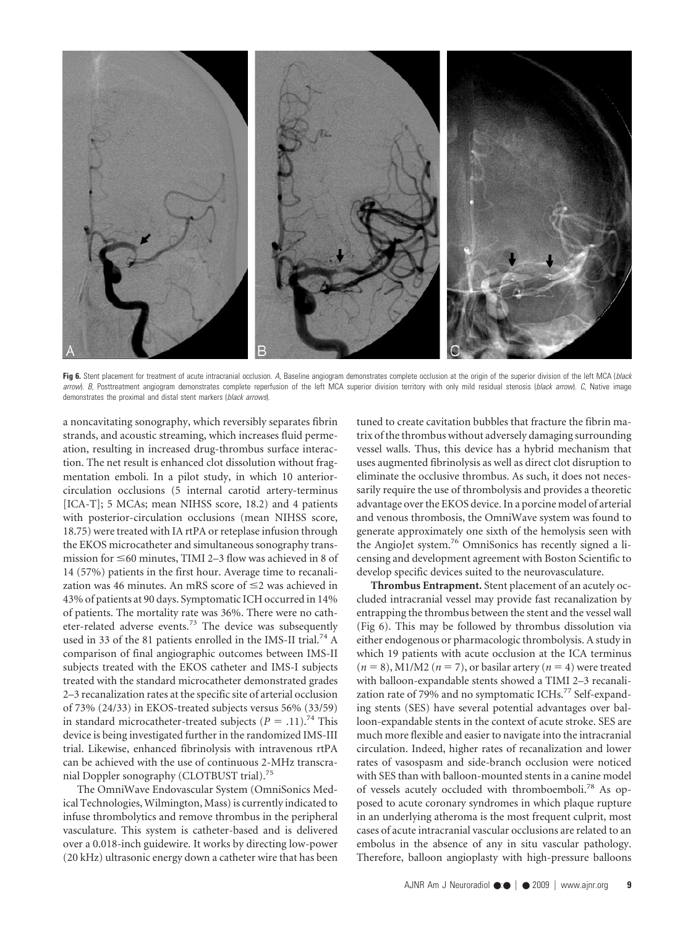

**Fig 6.** Stent placement for treatment of acute intracranial occlusion. *A*, Baseline angiogram demonstrates complete occlusion at the origin of the superior division of the left MCA (*black arrow*). *B*, Posttreatment angiogram demonstrates complete reperfusion of the left MCA superior division territory with only mild residual stenosis (*black arrow*). *C*, Native image demonstrates the proximal and distal stent markers (*black arrows*).

a noncavitating sonography, which reversibly separates fibrin strands, and acoustic streaming, which increases fluid permeation, resulting in increased drug-thrombus surface interaction. The net result is enhanced clot dissolution without fragmentation emboli. In a pilot study, in which 10 anteriorcirculation occlusions (5 internal carotid artery-terminus [ICA-T]; 5 MCAs; mean NIHSS score, 18.2) and 4 patients with posterior-circulation occlusions (mean NIHSS score, 18.75) were treated with IA rtPA or reteplase infusion through the EKOS microcatheter and simultaneous sonography transmission for  $\leq$  60 minutes, TIMI 2–3 flow was achieved in 8 of 14 (57%) patients in the first hour. Average time to recanalization was 46 minutes. An mRS score of  $\leq$ 2 was achieved in 43% of patients at 90 days. Symptomatic ICH occurred in 14% of patients. The mortality rate was 36%. There were no catheter-related adverse events.<sup>73</sup> The device was subsequently used in 33 of the 81 patients enrolled in the IMS-II trial.<sup>74</sup> A comparison of final angiographic outcomes between IMS-II subjects treated with the EKOS catheter and IMS-I subjects treated with the standard microcatheter demonstrated grades 2–3 recanalization rates at the specific site of arterial occlusion of 73% (24/33) in EKOS-treated subjects versus 56% (33/59) in standard microcatheter-treated subjects  $(P = .11)^{74}$  This device is being investigated further in the randomized IMS-III trial. Likewise, enhanced fibrinolysis with intravenous rtPA can be achieved with the use of continuous 2-MHz transcranial Doppler sonography (CLOTBUST trial).75

The OmniWave Endovascular System (OmniSonics Medical Technologies, Wilmington, Mass) is currently indicated to infuse thrombolytics and remove thrombus in the peripheral vasculature. This system is catheter-based and is delivered over a 0.018-inch guidewire. It works by directing low-power (20 kHz) ultrasonic energy down a catheter wire that has been tuned to create cavitation bubbles that fracture the fibrin matrix of the thrombus without adversely damaging surrounding vessel walls. Thus, this device has a hybrid mechanism that uses augmented fibrinolysis as well as direct clot disruption to eliminate the occlusive thrombus. As such, it does not necessarily require the use of thrombolysis and provides a theoretic advantage over the EKOS device. In a porcine model of arterial and venous thrombosis, the OmniWave system was found to generate approximately one sixth of the hemolysis seen with the AngioJet system.<sup>76</sup> OmniSonics has recently signed a licensing and development agreement with Boston Scientific to develop specific devices suited to the neurovasculature.

**Thrombus Entrapment.** Stent placement of an acutely occluded intracranial vessel may provide fast recanalization by entrapping the thrombus between the stent and the vessel wall (Fig 6). This may be followed by thrombus dissolution via either endogenous or pharmacologic thrombolysis. A study in which 19 patients with acute occlusion at the ICA terminus  $(n = 8)$ , M1/M2  $(n = 7)$ , or basilar artery  $(n = 4)$  were treated with balloon-expandable stents showed a TIMI 2–3 recanalization rate of 79% and no symptomatic ICHs.<sup>77</sup> Self-expanding stents (SES) have several potential advantages over balloon-expandable stents in the context of acute stroke. SES are much more flexible and easier to navigate into the intracranial circulation. Indeed, higher rates of recanalization and lower rates of vasospasm and side-branch occlusion were noticed with SES than with balloon-mounted stents in a canine model of vessels acutely occluded with thromboemboli.<sup>78</sup> As opposed to acute coronary syndromes in which plaque rupture in an underlying atheroma is the most frequent culprit, most cases of acute intracranial vascular occlusions are related to an embolus in the absence of any in situ vascular pathology. Therefore, balloon angioplasty with high-pressure balloons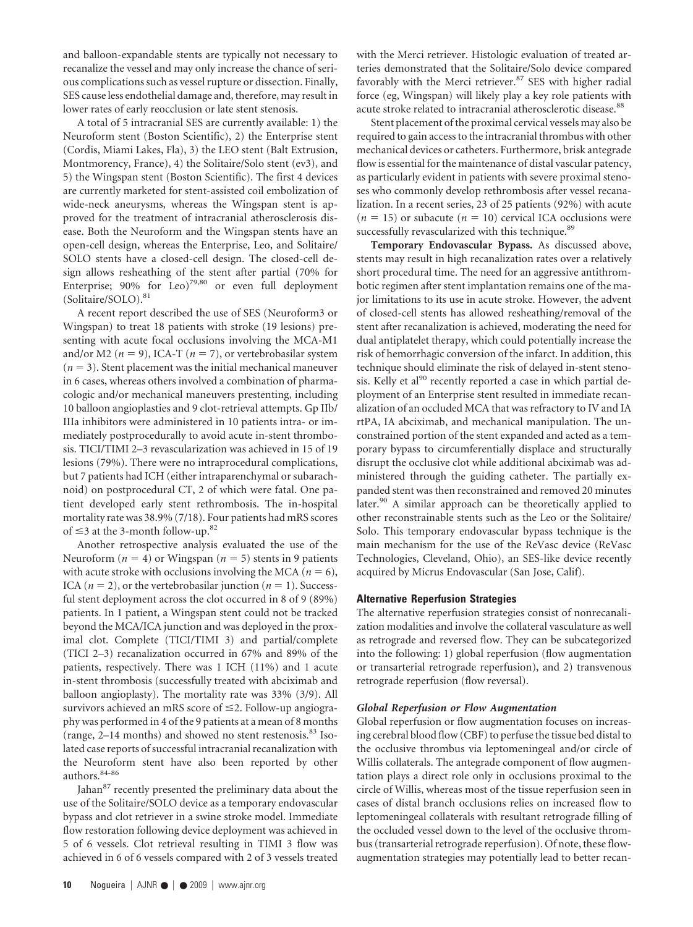and balloon-expandable stents are typically not necessary to recanalize the vessel and may only increase the chance of serious complications such as vessel rupture or dissection. Finally, SES cause less endothelial damage and, therefore, may result in lower rates of early reocclusion or late stent stenosis.

A total of 5 intracranial SES are currently available: 1) the Neuroform stent (Boston Scientific), 2) the Enterprise stent (Cordis, Miami Lakes, Fla), 3) the LEO stent (Balt Extrusion, Montmorency, France), 4) the Solitaire/Solo stent (ev3), and 5) the Wingspan stent (Boston Scientific). The first 4 devices are currently marketed for stent-assisted coil embolization of wide-neck aneurysms, whereas the Wingspan stent is approved for the treatment of intracranial atherosclerosis disease. Both the Neuroform and the Wingspan stents have an open-cell design, whereas the Enterprise, Leo, and Solitaire/ SOLO stents have a closed-cell design. The closed-cell design allows resheathing of the stent after partial (70% for Enterprise;  $90\%$  for Leo)<sup>79,80</sup> or even full deployment (Solitaire/SOLO).<sup>81</sup>

A recent report described the use of SES (Neuroform3 or Wingspan) to treat 18 patients with stroke (19 lesions) presenting with acute focal occlusions involving the MCA-M1 and/or M2 ( $n = 9$ ), ICA-T ( $n = 7$ ), or vertebrobasilar system  $(n = 3)$ . Stent placement was the initial mechanical maneuver in 6 cases, whereas others involved a combination of pharmacologic and/or mechanical maneuvers prestenting, including 10 balloon angioplasties and 9 clot-retrieval attempts. Gp IIb/ IIIa inhibitors were administered in 10 patients intra- or immediately postprocedurally to avoid acute in-stent thrombosis. TICI/TIMI 2–3 revascularization was achieved in 15 of 19 lesions (79%). There were no intraprocedural complications, but 7 patients had ICH (either intraparenchymal or subarachnoid) on postprocedural CT, 2 of which were fatal. One patient developed early stent rethrombosis. The in-hospital mortality rate was 38.9% (7/18). Four patients had mRS scores of  $\leq$ 3 at the 3-month follow-up.<sup>82</sup>

Another retrospective analysis evaluated the use of the Neuroform  $(n = 4)$  or Wingspan  $(n = 5)$  stents in 9 patients with acute stroke with occlusions involving the MCA ( $n = 6$ ), ICA ( $n = 2$ ), or the vertebrobasilar junction ( $n = 1$ ). Successful stent deployment across the clot occurred in 8 of 9 (89%) patients. In 1 patient, a Wingspan stent could not be tracked beyond the MCA/ICA junction and was deployed in the proximal clot. Complete (TICI/TIMI 3) and partial/complete (TICI 2–3) recanalization occurred in 67% and 89% of the patients, respectively. There was 1 ICH (11%) and 1 acute in-stent thrombosis (successfully treated with abciximab and balloon angioplasty). The mortality rate was 33% (3/9). All survivors achieved an mRS score of  $\leq$ 2. Follow-up angiography was performed in 4 of the 9 patients at a mean of 8 months (range,  $2-14$  months) and showed no stent restenosis.<sup>83</sup> Isolated case reports of successful intracranial recanalization with the Neuroform stent have also been reported by other authors.84-86

Jahan<sup>87</sup> recently presented the preliminary data about the use of the Solitaire/SOLO device as a temporary endovascular bypass and clot retriever in a swine stroke model. Immediate flow restoration following device deployment was achieved in 5 of 6 vessels. Clot retrieval resulting in TIMI 3 flow was achieved in 6 of 6 vessels compared with 2 of 3 vessels treated

with the Merci retriever. Histologic evaluation of treated arteries demonstrated that the Solitaire/Solo device compared favorably with the Merci retriever.<sup>87</sup> SES with higher radial force (eg, Wingspan) will likely play a key role patients with acute stroke related to intracranial atherosclerotic disease.<sup>88</sup>

Stent placement of the proximal cervical vessels may also be required to gain access to the intracranial thrombus with other mechanical devices or catheters. Furthermore, brisk antegrade flow is essential for the maintenance of distal vascular patency, as particularly evident in patients with severe proximal stenoses who commonly develop rethrombosis after vessel recanalization. In a recent series, 23 of 25 patients (92%) with acute  $(n = 15)$  or subacute  $(n = 10)$  cervical ICA occlusions were successfully revascularized with this technique.<sup>89</sup>

**Temporary Endovascular Bypass.** As discussed above, stents may result in high recanalization rates over a relatively short procedural time. The need for an aggressive antithrombotic regimen after stent implantation remains one of the major limitations to its use in acute stroke. However, the advent of closed-cell stents has allowed resheathing/removal of the stent after recanalization is achieved, moderating the need for dual antiplatelet therapy, which could potentially increase the risk of hemorrhagic conversion of the infarct. In addition, this technique should eliminate the risk of delayed in-stent stenosis. Kelly et al<sup>90</sup> recently reported a case in which partial deployment of an Enterprise stent resulted in immediate recanalization of an occluded MCA that was refractory to IV and IA rtPA, IA abciximab, and mechanical manipulation. The unconstrained portion of the stent expanded and acted as a temporary bypass to circumferentially displace and structurally disrupt the occlusive clot while additional abciximab was administered through the guiding catheter. The partially expanded stent was then reconstrained and removed 20 minutes later.<sup>90</sup> A similar approach can be theoretically applied to other reconstrainable stents such as the Leo or the Solitaire/ Solo. This temporary endovascular bypass technique is the main mechanism for the use of the ReVasc device (ReVasc Technologies, Cleveland, Ohio), an SES-like device recently acquired by Micrus Endovascular (San Jose, Calif).

### **Alternative Reperfusion Strategies**

The alternative reperfusion strategies consist of nonrecanalization modalities and involve the collateral vasculature as well as retrograde and reversed flow. They can be subcategorized into the following: 1) global reperfusion (flow augmentation or transarterial retrograde reperfusion), and 2) transvenous retrograde reperfusion (flow reversal).

### *Global Reperfusion or Flow Augmentation*

Global reperfusion or flow augmentation focuses on increasing cerebral blood flow (CBF) to perfuse the tissue bed distal to the occlusive thrombus via leptomeningeal and/or circle of Willis collaterals. The antegrade component of flow augmentation plays a direct role only in occlusions proximal to the circle of Willis, whereas most of the tissue reperfusion seen in cases of distal branch occlusions relies on increased flow to leptomeningeal collaterals with resultant retrograde filling of the occluded vessel down to the level of the occlusive thrombus (transarterial retrograde reperfusion). Of note, these flowaugmentation strategies may potentially lead to better recan-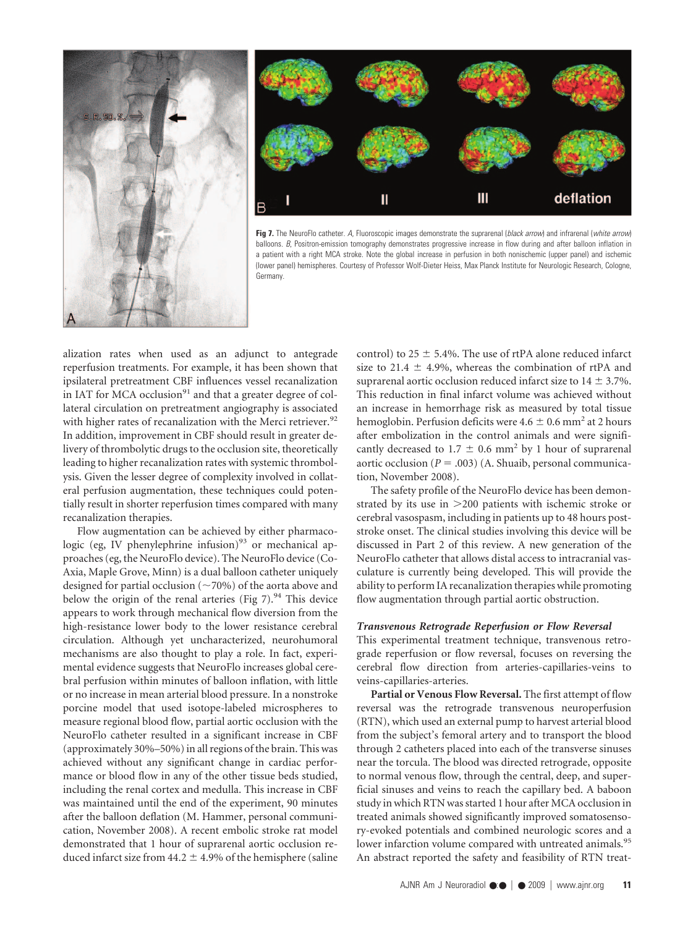![](_page_10_Picture_0.jpeg)

![](_page_10_Figure_1.jpeg)

**Fig 7.** The NeuroFlo catheter. *A*, Fluoroscopic images demonstrate the suprarenal (*black arrow*) and infrarenal (*white arrow*) balloons. *B*, Positron-emission tomography demonstrates progressive increase in flow during and after balloon inflation in a patient with a right MCA stroke. Note the global increase in perfusion in both nonischemic (upper panel) and ischemic (lower panel) hemispheres. Courtesy of Professor Wolf-Dieter Heiss, Max Planck Institute for Neurologic Research, Cologne, Germany.

alization rates when used as an adjunct to antegrade reperfusion treatments. For example, it has been shown that ipsilateral pretreatment CBF influences vessel recanalization in IAT for MCA occlusion $91$  and that a greater degree of collateral circulation on pretreatment angiography is associated with higher rates of recanalization with the Merci retriever.<sup>92</sup> In addition, improvement in CBF should result in greater delivery of thrombolytic drugs to the occlusion site, theoretically leading to higher recanalization rates with systemic thrombolysis. Given the lesser degree of complexity involved in collateral perfusion augmentation, these techniques could potentially result in shorter reperfusion times compared with many recanalization therapies.

Flow augmentation can be achieved by either pharmacologic (eg, IV phenylephrine infusion) $93$  or mechanical approaches (eg, the NeuroFlo device). The NeuroFlo device (Co-Axia, Maple Grove, Minn) is a dual balloon catheter uniquely designed for partial occlusion ( $\sim$ 70%) of the aorta above and below the origin of the renal arteries (Fig  $7$ ).<sup>94</sup> This device appears to work through mechanical flow diversion from the high-resistance lower body to the lower resistance cerebral circulation. Although yet uncharacterized, neurohumoral mechanisms are also thought to play a role. In fact, experimental evidence suggests that NeuroFlo increases global cerebral perfusion within minutes of balloon inflation, with little or no increase in mean arterial blood pressure. In a nonstroke porcine model that used isotope-labeled microspheres to measure regional blood flow, partial aortic occlusion with the NeuroFlo catheter resulted in a significant increase in CBF (approximately 30%–50%) in all regions of the brain. This was achieved without any significant change in cardiac performance or blood flow in any of the other tissue beds studied, including the renal cortex and medulla. This increase in CBF was maintained until the end of the experiment, 90 minutes after the balloon deflation (M. Hammer, personal communication, November 2008). A recent embolic stroke rat model demonstrated that 1 hour of suprarenal aortic occlusion reduced infarct size from 44.2  $\pm$  4.9% of the hemisphere (saline control) to 25  $\pm$  5.4%. The use of rtPA alone reduced infarct size to 21.4  $\pm$  4.9%, whereas the combination of rtPA and suprarenal aortic occlusion reduced infarct size to  $14 \pm 3.7\%$ . This reduction in final infarct volume was achieved without an increase in hemorrhage risk as measured by total tissue hemoglobin. Perfusion deficits were  $4.6 \pm 0.6$  mm<sup>2</sup> at 2 hours after embolization in the control animals and were significantly decreased to 1.7  $\pm$  0.6 mm<sup>2</sup> by 1 hour of suprarenal aortic occlusion ( $P = .003$ ) (A. Shuaib, personal communication, November 2008).

The safety profile of the NeuroFlo device has been demonstrated by its use in  $>$  200 patients with ischemic stroke or cerebral vasospasm, including in patients up to 48 hours poststroke onset. The clinical studies involving this device will be discussed in Part 2 of this review. A new generation of the NeuroFlo catheter that allows distal access to intracranial vasculature is currently being developed. This will provide the ability to perform IA recanalization therapies while promoting flow augmentation through partial aortic obstruction.

#### *Transvenous Retrograde Reperfusion or Flow Reversal*

This experimental treatment technique, transvenous retrograde reperfusion or flow reversal, focuses on reversing the cerebral flow direction from arteries-capillaries-veins to veins-capillaries-arteries.

**Partial or Venous Flow Reversal.** The first attempt of flow reversal was the retrograde transvenous neuroperfusion (RTN), which used an external pump to harvest arterial blood from the subject's femoral artery and to transport the blood through 2 catheters placed into each of the transverse sinuses near the torcula. The blood was directed retrograde, opposite to normal venous flow, through the central, deep, and superficial sinuses and veins to reach the capillary bed. A baboon study in which RTN was started 1 hour after MCA occlusion in treated animals showed significantly improved somatosensory-evoked potentials and combined neurologic scores and a lower infarction volume compared with untreated animals.<sup>95</sup> An abstract reported the safety and feasibility of RTN treat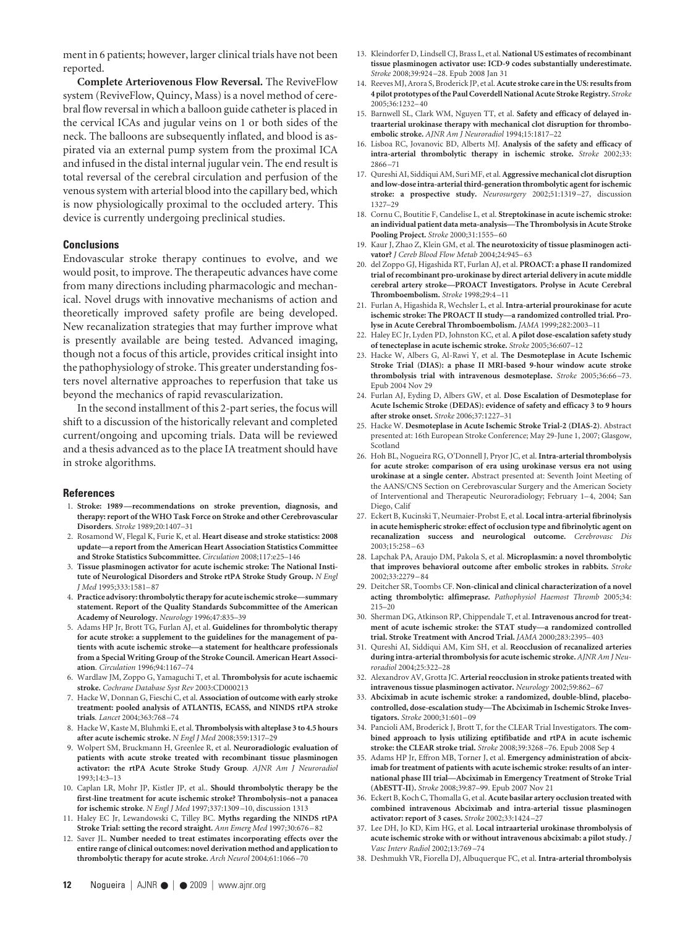ment in 6 patients; however, larger clinical trials have not been reported.

**Complete Arteriovenous Flow Reversal.** The ReviveFlow system (ReviveFlow, Quincy, Mass) is a novel method of cerebral flow reversal in which a balloon guide catheter is placed in the cervical ICAs and jugular veins on 1 or both sides of the neck. The balloons are subsequently inflated, and blood is aspirated via an external pump system from the proximal ICA and infused in the distal internal jugular vein. The end result is total reversal of the cerebral circulation and perfusion of the venous system with arterial blood into the capillary bed, which is now physiologically proximal to the occluded artery. This device is currently undergoing preclinical studies.

#### **Conclusions**

Endovascular stroke therapy continues to evolve, and we would posit, to improve. The therapeutic advances have come from many directions including pharmacologic and mechanical. Novel drugs with innovative mechanisms of action and theoretically improved safety profile are being developed. New recanalization strategies that may further improve what is presently available are being tested. Advanced imaging, though not a focus of this article, provides critical insight into the pathophysiology of stroke. This greater understanding fosters novel alternative approaches to reperfusion that take us beyond the mechanics of rapid revascularization.

In the second installment of this 2-part series, the focus will shift to a discussion of the historically relevant and completed current/ongoing and upcoming trials. Data will be reviewed and a thesis advanced as to the place IA treatment should have in stroke algorithms.

#### **References**

- 1. **Stroke: 1989—recommendations on stroke prevention, diagnosis, and therapy: report of the WHO Task Force on Stroke and other Cerebrovascular Disorders**. *Stroke* 1989;20:1407–31
- 2. Rosamond W, Flegal K, Furie K, et al. **Heart disease and stroke statistics: 2008 update—a report from the American Heart Association Statistics Committee and Stroke Statistics Subcommittee.** *Circulation* 2008;117:e25–146
- 3. **Tissue plasminogen activator for acute ischemic stroke: The National Institute of Neurological Disorders and Stroke rtPA Stroke Study Group.** *N Engl J Med* 1995;333:1581– 87
- 4. **Practice advisory: thrombolytic therapy for acuteischemic stroke—summary statement. Report of the Quality Standards Subcommittee of the American Academy of Neurology.** *Neurology* 1996;47:835–39
- 5. Adams HP Jr, Brott TG, Furlan AJ, et al. **Guidelines for thrombolytic therapy for acute stroke: a supplement to the guidelines for the management of patients with acute ischemic stroke—a statement for healthcare professionals from a Special Writing Group of the Stroke Council. American Heart Association***. Circulation* 1996;94:1167–74
- 6. Wardlaw JM, Zoppo G, Yamaguchi T, et al. **Thrombolysis for acute ischaemic stroke.** *Cochrane Database Syst Rev* 2003:CD000213
- 7. Hacke W, Donnan G, Fieschi C, et al. **Association of outcome with early stroke treatment: pooled analysis of ATLANTIS, ECASS, and NINDS rtPA stroke trials***. Lancet* 2004;363:768 –74
- 8. HackeW, Kaste M, Bluhmki E, et al. **Thrombolysis with alteplase 3 to 4.5 hours after acute ischemic stroke.** *N Engl J Med* 2008;359:1317–29
- 9. Wolpert SM, Bruckmann H, Greenlee R, et al. **Neuroradiologic evaluation of patients with acute stroke treated with recombinant tissue plasminogen activator: the rtPA Acute Stroke Study Group***. AJNR Am J Neuroradiol* 1993;14:3–13
- 10. Caplan LR, Mohr JP, Kistler JP, et al.. **Should thrombolytic therapy be the first-line treatment for acute ischemic stroke? Thrombolysis–not a panacea for ischemic stroke**. *N Engl J Med* 1997;337:1309 –10, discussion 1313
- 11. Haley EC Jr, Lewandowski C, Tilley BC. **Myths regarding the NINDS rtPA Stroke Trial: setting the record straight.** *Ann Emerg Med* 1997;30:676 – 82
- 12. Saver JL. **Number needed to treat estimates incorporating effects over the entire range of clinical outcomes: novel derivation method and application to thrombolytic therapy for acute stroke.** *Arch Neurol* 2004;61:1066 –70
- 13. Kleindorfer D, Lindsell CJ, Brass L, et al. **National US estimates of recombinant tissue plasminogen activator use: ICD-9 codes substantially underestimate.** *Stroke* 2008;39:924 –28. Epub 2008 Jan 31
- 14. Reeves MJ, Arora S, Broderick JP, et al.**Acute stroke care in the US: results from 4 pilot prototypes of the Paul Coverdell National Acute Stroke Registry.** *Stroke* 2005;36:1232– 40
- 15. Barnwell SL, Clark WM, Nguyen TT, et al. **Safety and efficacy of delayed intraarterial urokinase therapy with mechanical clot disruption for thromboembolic stroke.** *AJNR Am J Neuroradiol* 1994;15:1817–22
- 16. Lisboa RC, Jovanovic BD, Alberts MJ. **Analysis of the safety and efficacy of intra-arterial thrombolytic therapy in ischemic stroke.** *Stroke* 2002;33: 2866 –71
- 17. Qureshi AI, Siddiqui AM, Suri MF, et al.**Aggressive mechanical clot disruption and low-dose intra-arterial third-generation thrombolytic agent for ischemic stroke: a prospective study.** *Neurosurgery* 2002;51:1319 –27, discussion 1327–29
- 18. Cornu C, Boutitie F, Candelise L, et al. **Streptokinase in acute ischemic stroke: an individual patient data meta-analysis—The Thrombolysis in Acute Stroke Pooling Project.** *Stroke* 2000;31:1555– 60
- 19. Kaur J, Zhao Z, Klein GM, et al. **The neurotoxicity of tissue plasminogen activator?** *J Cereb Blood Flow Metab* 2004;24:945– 63
- 20. del Zoppo GJ, Higashida RT, Furlan AJ, et al. **PROACT: a phase II randomized trial of recombinant pro-urokinase by direct arterial delivery in acute middle cerebral artery stroke—PROACT Investigators. Prolyse in Acute Cerebral Thromboembolism.** *Stroke* 1998;29:4 –11
- 21. Furlan A, Higashida R, Wechsler L, et al. **Intra-arterial prourokinase for acute ischemic stroke: The PROACT II study—a randomized controlled trial. Prolyse in Acute Cerebral Thromboembolism.** *JAMA* 1999;282:2003–11
- 22. Haley EC Jr, Lyden PD, Johnston KC, et al. **A pilot dose-escalation safety study of tenecteplase in acute ischemic stroke.** *Stroke* 2005;36:607–12
- 23. Hacke W, Albers G, Al-Rawi Y, et al. **The Desmoteplase in Acute Ischemic Stroke Trial (DIAS): a phase II MRI-based 9-hour window acute stroke thrombolysis trial with intravenous desmoteplase.** *Stroke* 2005;36:66 –73. Epub 2004 Nov 29
- 24. Furlan AJ, Eyding D, Albers GW, et al. **Dose Escalation of Desmoteplase for Acute Ischemic Stroke (DEDAS): evidence of safety and efficacy 3 to 9 hours after stroke onset.** *Stroke* 2006;37:1227–31
- 25. Hacke W. **Desmoteplase in Acute Ischemic Stroke Trial-2 (DIAS-2)**. Abstract presented at: 16th European Stroke Conference; May 29-June 1, 2007; Glasgow, Scotland
- 26. Hoh BL, Nogueira RG, O'Donnell J, Pryor JC, et al.**Intra-arterial thrombolysis for acute stroke: comparison of era using urokinase versus era not using urokinase at a single center.** Abstract presented at: Seventh Joint Meeting of the AANS/CNS Section on Cerebrovascular Surgery and the American Society of Interventional and Therapeutic Neuroradiology; February 1– 4, 2004; San Diego, Calif
- 27. Eckert B, Kucinski T, Neumaier-Probst E, et al. **Local intra-arterial fibrinolysis in acute hemispheric stroke: effect of occlusion type and fibrinolytic agent on recanalization success and neurological outcome.** *Cerebrovasc Dis* 2003;15:258 – 63
- 28. Lapchak PA, Araujo DM, Pakola S, et al. **Microplasmin: a novel thrombolytic that improves behavioral outcome after embolic strokes in rabbits.** *Stroke* 2002;33:2279 – 84
- 29. Deitcher SR, Toombs CF. **Non-clinical and clinical characterization of a novel acting thrombolytic: alfimepras***e***.** *Pathophysiol Haemost Thromb* 2005;34: 215–20
- 30. Sherman DG, Atkinson RP, Chippendale T, et al.**Intravenous ancrod for treatment of acute ischemic stroke: the STAT study—a randomized controlled trial. Stroke Treatment with Ancrod Trial.** *JAMA* 2000;283:2395– 403
- 31. Qureshi AI, Siddiqui AM, Kim SH, et al. **Reocclusion of recanalized arteries during intra-arterial thrombolysis for acute ischemic stroke.** *AJNR Am J Neuroradiol* 2004;25:322–28
- 32. Alexandrov AV, Grotta JC. **Arterial reocclusion in stroke patients treated with intravenous tissue plasminogen activator.** *Neurology* 2002;59:862– 67
- 33. **Abciximab in acute ischemic stroke: a randomized, double-blind, placebocontrolled, dose-escalation study—The Abciximab in Ischemic Stroke Investigators.** *Stroke* 2000;31:601– 09
- 34. Pancioli AM, Broderick J, Brott T, for the CLEAR Trial Investigators. **The combined approach to lysis utilizing eptifibatide and rtPA in acute ischemic stroke: the CLEAR stroke trial.** *Stroke* 2008;39:3268 –76. Epub 2008 Sep 4
- 35. Adams HP Jr, Effron MB, Torner J, et al. **Emergency administration of abciximab for treatment of patients with acute ischemic stroke: results of an international phase III trial—Abciximab in Emergency Treatment of Stroke Trial (AbESTT-II).** *Stroke* 2008;39:87–99. Epub 2007 Nov 21
- 36. Eckert B, Koch C, Thomalla G, et al. **Acute basilar artery occlusion treated with combined intravenous Abciximab and intra-arterial tissue plasminogen activator: report of 3 cases.** *Stroke* 2002;33:1424 –27
- 37. Lee DH, Jo KD, Kim HG, et al. **Local intraarterial urokinase thrombolysis of acute ischemic stroke with or without intravenous abciximab: a pilot study.** *J Vasc Interv Radiol* 2002;13:769 –74
- 38. Deshmukh VR, Fiorella DJ, Albuquerque FC, et al. **Intra-arterial thrombolysis**